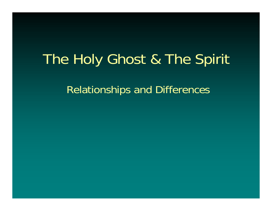# The Holy Ghost & The Spirit

Relationships and Differences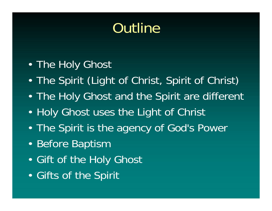# Outline

- $\blacksquare$ The Holy Ghost
- •The Spirit (Light of Christ, Spirit of Christ)
- •The Holy Ghost and the Spirit are different
- $\blacksquare$ Holy Ghost uses the Light of Christ
- •The Spirit is the agency of God's Power
- •Before Baptism
- $\blacksquare$ Gift of the Holy Ghost
- •Gifts of the Spirit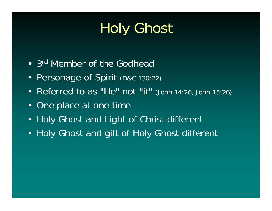# Holy Ghost

- 3<sup>rd</sup> Member of the Godhead
- Personage of Spirit (D&C 130:22)
- Referred to as "He" not "it" (John 14:26, John 15:26)
- One place at one time
- Holy Ghost and Light of Christ different
- Holy Ghost and gift of Holy Ghost different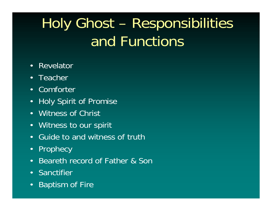# Holy Ghost – Responsibilities and Functions

- $\bullet$ Revelator
- Teacher
- Comforter
- •Holy Spirit of Promise
- Witness of Christ
- Witness to our spirit
- $\bullet$ Guide to and witness of truth
- •**Prophecy**
- •Beareth record of Father & Sor
- Sanctifier
- •Baptism of Fire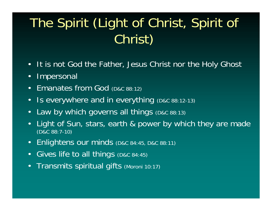# The Spirit (Light of Christ, Spirit of Christ)

- •It is not God the Father, Jesus Christ nor the Holy Ghost
- $\bullet$ Impersonal
- •Emanates from God (D&C 88:12)
- •Is everywhere and in everything (D&C 88:12-13)
- •Law by which governs all things (D&C 88:13)
- $\bullet$ Light of Sun, stars, earth & power by which they are made (D&C 88:7-10)
- •Enlightens our minds (D&C 84:45, D&C 88:11)
- $\bullet$ Gives life to all things (D&C 84:45)
- $\bullet$ Transmits spiritual gifts (Moroni 10:17)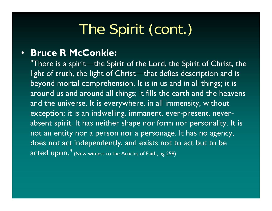# The Spirit (cont.)

#### •**Bruce R McConkie:**

"There is a spirit—the Spirit of the Lord, the Spirit of Christ, the light of truth, the light of Christ—that defies description and is beyond mortal comprehension. It is in us and in all things; it is around us and around all things; it fills the earth and the heavens and the universe. It is everywhere, in all immensity, without exception; it is an indwelling, immanent, ever-present, neverabsent spirit. It has neither shape nor form nor personality. It is not an entity nor a person nor a personage. It has no agency, does not act independently, and exists not to act but to be acted upon." (New witness to the Articles of Faith, pg 258)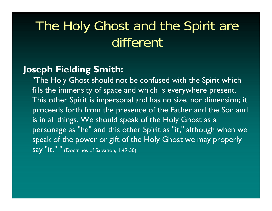### The Holy Ghost and the Spirit are different

#### **Joseph Fielding Smith:**

"The Holy Ghost should not be confused with the Spirit which fills the immensity of space and which is everywhere present. This other Spirit is impersonal and has no size, nor dimension; it proceeds forth from the presence of the Father and the Son and is in all things. We should speak of the Holy Ghost as a personage as "he" and this other Spirit as "it," although when we speak of the power or gift of the Holy Ghost we may properly say "it." " (Doctrines of Salvation, 1:49-50)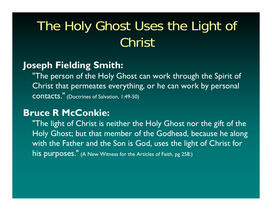## The Holy Ghost Uses the Light of Christ

#### **Joseph Fielding Smith:**

"The person of the Holy Ghost can work through the Spirit of Christ that permeates everything, or he can work by personal <code>CONtacts.''</code> (Doctrines of Salvation, 1:49-50)

#### **Bruce R McConkie:**

"The light of Christ is neither the Holy Ghost nor the gift of the Holy Ghost; but that member of the Godhead, because he along with the Father and the Son is God, uses the light of Christ for his purposes." (A New Witness for the Articles of Faith, pg 258.)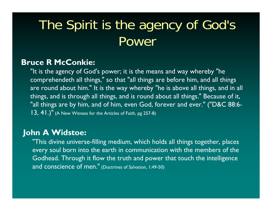## The Spirit is the agency of God's Power

#### **Bruce R McConkie:**

"It is the agency of God's power; it is the means and way whereby "he comprehendeth all things," so that "all things are before him, and all things are round about him." It is the way whereby "he is above all things, and in all things, and is through all things, and is round about all things." Because of it, "all things are by him, and of him, even God, forever and ever." ("D&C 88:6- 13, 41.)" (A New Witness for the Articles of Faith, pg 257-8)

#### **John A Widstoe:**

"This divine universe-filling medium, which holds all things together, places every soul born into the earth in communication with the members of the Godhead. Through it flow the truth and power that touch the intelligence and conscience of men." (Doctrines of Salvation, 1:49-50)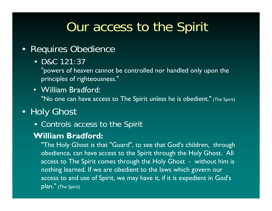### Our access to the Spirit

- $\bullet$  Requires Obedience
	- D&C 121:37

"powers of heaven cannot be controlled nor handled only upon the principles of righteousness."

• William Bradford: "No one can have access to The Spirit unless he is obedient." (The Spirit)

### • Holy Ghost

• Controls access to the Spirit

#### **William Bradford:**

"The Holy Ghost is that "Guard", to see that God's children, through obedience, can have access to the Spirit through the Holy Ghost. All access to The Spirit comes through the Holy Ghost - without him is nothing learned. If we are obedient to the laws which govern our access to and use of Spirit, we may have it, if it is expedient in God's plan." (The Spirit)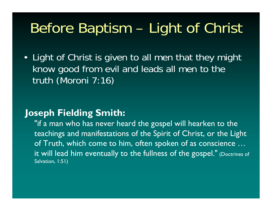# Before Baptism – Light of Christ

• Light of Christ is given to all men that they might know good from evil and leads all men to the truth (Moroni 7:16)

#### **Joseph Fielding Smith:**

"if a man who has never heard the gospel will hearken to the teachings and manifestations of the Spirit of Christ, or the Light of Truth, which come to him, often spoken of as conscience … it will lead him eventually to the fullness of the gospel." (Doctrines of Salvation, 1:51)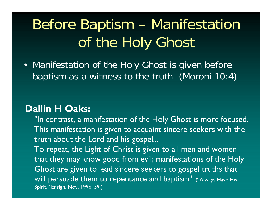# Before Baptism – Manifestation of the Holy Ghost

• Manifestation of the Holy Ghost is given before baptism as a witness to the truth (Moroni 10:4)

#### **Dallin H Oaks:**

"In contrast, a manifestation of the Holy Ghost is more focused. This manifestation is given to acquaint sincere seekers with the truth about the Lord and his gospel... To repeat, the Light of Christ is given to all men and women that they may know good from evil; manifestations of the Holy Ghost are given to lead sincere seekers to gospel truths that will persuade them to repentance and baptism." ("Always Have His Spirit," Ensign, Nov. 1996, 59.)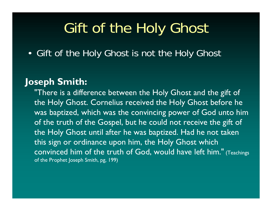## Gift of the Holy Ghost

• Gift of the Holy Ghost is not the Holy Ghost

#### **Joseph Smith:**

"There is a difference between the Holy Ghost and the gift of the Holy Ghost. Cornelius received the Holy Ghost before he was baptized, which was the convincing power of God unto him of the truth of the Gospel, but he could not receive the gift of the Holy Ghost until after he was baptized. Had he not taken this sign or ordinance upon him, the Holy Ghost which convinced him of the truth of God, would have left him." (Teachings of the Prophet Joseph Smith, pg, 199)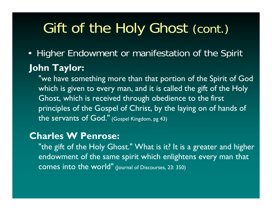# Gift of the Holy Ghost (cont.)

• Higher Endowment or manifestation of the Spirit

### **John Taylor:**

"we have something more than that portion of the Spirit of God which is given to every man, and it is called the gift of the Holy Ghost, which is received through obedience to the first principles of the Gospel of Christ, by the laying on of hands of the servants of God." (Gospel Kingdom, pg 43)

#### **Charles W Penrose:**

"the gift of the Holy Ghost." What is it? It is a greater and higher endowment of the same spirit which enlightens every man that <code>comes</code> into the world"  $_{\tiny{\text{[Journal of Discuss, 23: 350)}}}$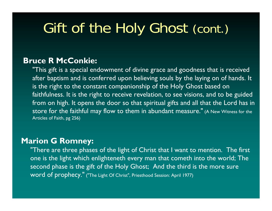# Gift of the Holy Ghost (cont.)

#### **Bruce R McConkie:**

"This gift is a special endowment of divine grace and goodness that is received after baptism and is conferred upon believing souls by the laying on of hands. It is the right to the constant companionship of the Holy Ghost based on faithfulness. It is the right to receive revelation, to see visions, and to be guided from on high. It opens the door so that spiritual gifts and all that the Lord has in store for the faithful may flow to them in abundant measure." (A New Witness for the Articles of Faith, pg 256)

#### **Marion G Romney:**

"There are three phases of the light of Christ that I want to mention. The first one is the light which enlighteneth every man that cometh into the world; The second phase is the gift of the Holy Ghost; And the third is the more sure word of prophecy." ("The Light Of Christ", Priesthood Session: April 1977)